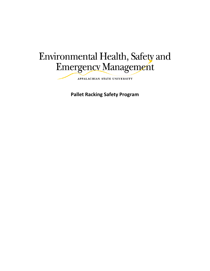# Environmental Health, Safety and Emergency Management

APPALACHIAN STATE UNIVERSITY

**Pallet Racking Safety Program**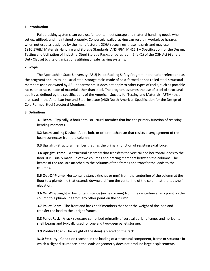#### **1. Introduction**

Pallet racking systems can be a useful tool to meet storage and material handling needs when set up, utilized, and maintained properly. Conversely, pallet racking can result in workplace hazards when not used as designed by the manufacturer. OSHA recognizes these hazards and may use 1910.176(b) Materials Handling and Storage Standards, ANSI/RMI MH16.1 – Specification for the Design, Testing and Utilization of Industrial Steel Storage Racks, or paragraph (5)(a)(1) of the OSH Act (General Duty Clause) to cite organizations utilizing unsafe racking systems.

#### **2. Scope**

The Appalachian State University (ASU) Pallet Racking Safety Program (hereinafter referred to as the program) applies to industrial steel storage racks made of cold-formed or hot-rolled steel structural members used or owned by ASU departments. It does not apply to other types of racks, such as portable racks, or to racks made of material other than steel. The program assumes the use of steel of structural quality as defined by the specifications of the American Society for Testing and Materials (ASTM) that are listed in the American Iron and Steel Institute (AISI) North American Specification for the Design of Cold-Formed Steel Structural Members.

#### **3. Definitions**

**3.1 Beam** – Typically, a horizontal structural member that has the primary function of resisting bending moments.

**3.2 Beam Locking Device** - A pin, bolt, or other mechanism that resists disengagement of the beam connector from the column.

**3.3 Upright** - Structural member that has the primary function of resisting axial force.

**3.4 Upright Frame** – A structural assembly that transfers the vertical and horizontal loads to the floor. It is usually made up of two columns and bracing members between the columns. The beams of the rack are attached to the columns of the frames and transfer the loads to the columns.

**3.5 Out-Of-Plumb** -Horizontal distance (inches or mm) from the centerline of the column at the floor to a plumb line that extends downward from the centerline of the column at the top shelf elevation.

**3.6 Out-Of-Straight** – Horizontal distance (inches or mm) from the centerline at any point on the column to a plumb line from any other point on the column.

**3.7 Pallet Beam** - The front and back shelf members that bear the weight of the load and transfer the load to the upright frames.

**3.8 Pallet Rack** - A rack structure comprised primarily of vertical upright frames and horizontal shelf beams and typically used for one and two-deep pallet storage.

**3.9 Product Load** - The weight of the item(s) placed on the rack.

**3.10 Stability** - Condition reached in the loading of a structural component, frame or structure in which a slight disturbance in the loads or geometry does not produce large displacements.